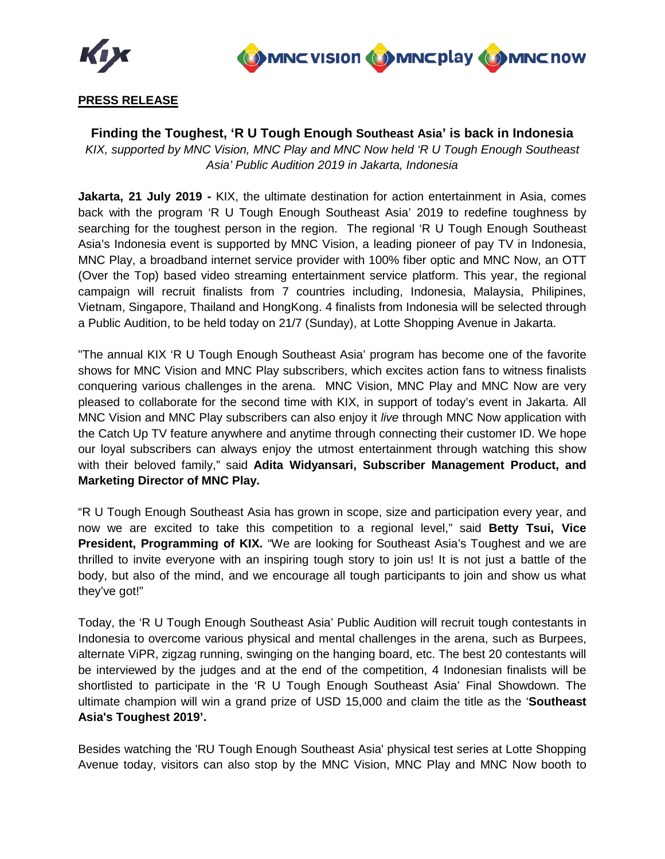



# **PRESS RELEASE**

## **Finding the Toughest, 'R U Tough Enough Southeast Asia' is back in Indonesia**

*KIX, supported by MNC Vision, MNC Play and MNC Now held 'R U Tough Enough Southeast Asia' Public Audition 2019 in Jakarta, Indonesia* 

**Jakarta, 21 July 2019 -** KIX, the ultimate destination for action entertainment in Asia, comes back with the program 'R U Tough Enough Southeast Asia' 2019 to redefine toughness by searching for the toughest person in the region. The regional 'R U Tough Enough Southeast Asia's Indonesia event is supported by MNC Vision, a leading pioneer of pay TV in Indonesia, MNC Play, a broadband internet service provider with 100% fiber optic and MNC Now, an OTT (Over the Top) based video streaming entertainment service platform. This year, the regional campaign will recruit finalists from 7 countries including, Indonesia, Malaysia, Philipines, Vietnam, Singapore, Thailand and HongKong. 4 finalists from Indonesia will be selected through a Public Audition, to be held today on 21/7 (Sunday), at Lotte Shopping Avenue in Jakarta.

"The annual KIX 'R U Tough Enough Southeast Asia' program has become one of the favorite shows for MNC Vision and MNC Play subscribers, which excites action fans to witness finalists conquering various challenges in the arena. MNC Vision, MNC Play and MNC Now are very pleased to collaborate for the second time with KIX, in support of today's event in Jakarta. All MNC Vision and MNC Play subscribers can also enjoy it *live* through MNC Now application with the Catch Up TV feature anywhere and anytime through connecting their customer ID. We hope our loyal subscribers can always enjoy the utmost entertainment through watching this show with their beloved family," said **Adita Widyansari, Subscriber Management Product, and Marketing Director of MNC Play.**

"R U Tough Enough Southeast Asia has grown in scope, size and participation every year, and now we are excited to take this competition to a regional level," said **Betty Tsui, Vice President, Programming of KIX.** "We are looking for Southeast Asia's Toughest and we are thrilled to invite everyone with an inspiring tough story to join us! It is not just a battle of the body, but also of the mind, and we encourage all tough participants to join and show us what they've got!"

Today, the 'R U Tough Enough Southeast Asia' Public Audition will recruit tough contestants in Indonesia to overcome various physical and mental challenges in the arena, such as Burpees, alternate ViPR, zigzag running, swinging on the hanging board, etc. The best 20 contestants will be interviewed by the judges and at the end of the competition, 4 Indonesian finalists will be shortlisted to participate in the 'R U Tough Enough Southeast Asia' Final Showdown. The ultimate champion will win a grand prize of USD 15,000 and claim the title as the '**Southeast Asia's Toughest 2019'.** 

Besides watching the 'RU Tough Enough Southeast Asia' physical test series at Lotte Shopping Avenue today, visitors can also stop by the MNC Vision, MNC Play and MNC Now booth to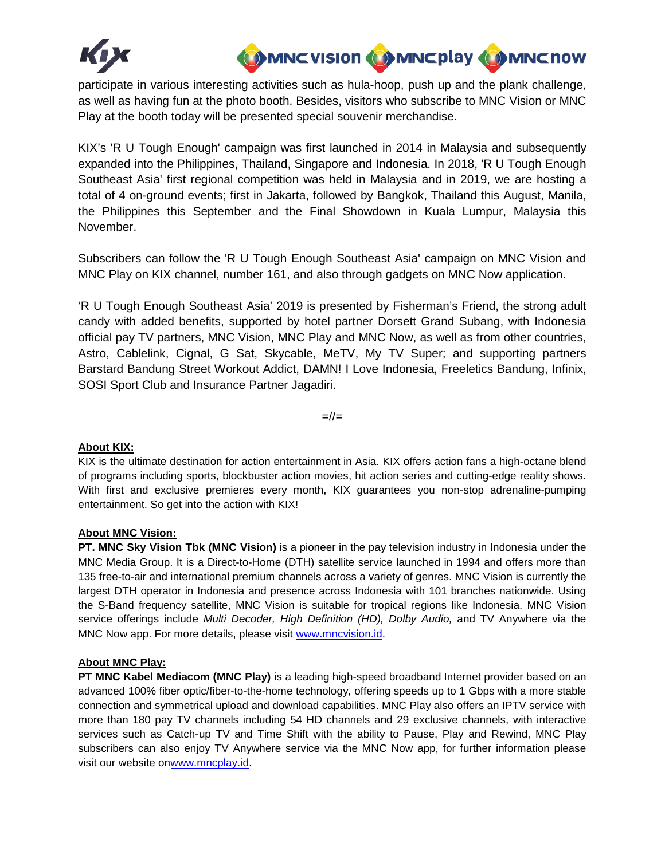



participate in various interesting activities such as hula-hoop, push up and the plank challenge, as well as having fun at the photo booth. Besides, visitors who subscribe to MNC Vision or MNC Play at the booth today will be presented special souvenir merchandise.

KIX's 'R U Tough Enough' campaign was first launched in 2014 in Malaysia and subsequently expanded into the Philippines, Thailand, Singapore and Indonesia. In 2018, 'R U Tough Enough Southeast Asia' first regional competition was held in Malaysia and in 2019, we are hosting a total of 4 on-ground events; first in Jakarta, followed by Bangkok, Thailand this August, Manila, the Philippines this September and the Final Showdown in Kuala Lumpur, Malaysia this November.

Subscribers can follow the 'R U Tough Enough Southeast Asia' campaign on MNC Vision and MNC Play on KIX channel, number 161, and also through gadgets on MNC Now application.

'R U Tough Enough Southeast Asia' 2019 is presented by Fisherman's Friend, the strong adult candy with added benefits, supported by hotel partner Dorsett Grand Subang, with Indonesia official pay TV partners, MNC Vision, MNC Play and MNC Now, as well as from other countries, Astro, Cablelink, Cignal, G Sat, Skycable, MeTV, My TV Super; and supporting partners Barstard Bandung Street Workout Addict, DAMN! I Love Indonesia, Freeletics Bandung, Infinix, SOSI Sport Club and Insurance Partner Jagadiri.

 $=$ // $=$ 

### **About KIX:**

KIX is the ultimate destination for action entertainment in Asia. KIX offers action fans a high-octane blend of programs including sports, blockbuster action movies, hit action series and cutting-edge reality shows. With first and exclusive premieres every month, KIX guarantees you non-stop adrenaline-pumping entertainment. So get into the action with KIX!

### **About MNC Vision:**

**PT. MNC Sky Vision Tbk (MNC Vision)** is a pioneer in the pay television industry in Indonesia under the MNC Media Group. It is a Direct-to-Home (DTH) satellite service launched in 1994 and offers more than 135 free-to-air and international premium channels across a variety of genres. MNC Vision is currently the largest DTH operator in Indonesia and presence across Indonesia with 101 branches nationwide. Using the S-Band frequency satellite, MNC Vision is suitable for tropical regions like Indonesia. MNC Vision service offerings include *Multi Decoder, High Definition (HD), Dolby Audio,* and TV Anywhere via the MNC Now app. For more details, please visit [www.mncvision.id.](http://www.mncvision.id/)

### **About MNC Play:**

**PT MNC Kabel Mediacom (MNC Play)** is a leading high-speed broadband Internet provider based on an advanced 100% fiber optic/fiber-to-the-home technology, offering speeds up to 1 Gbps with a more stable connection and symmetrical upload and download capabilities. MNC Play also offers an IPTV service with more than 180 pay TV channels including 54 HD channels and 29 exclusive channels, with interactive services such as Catch-up TV and Time Shift with the ability to Pause, Play and Rewind, MNC Play subscribers can also enjoy TV Anywhere service via the MNC Now app, for further information please visit our website o[nwww.mncplay.id.](http://www.mncplay.id/)